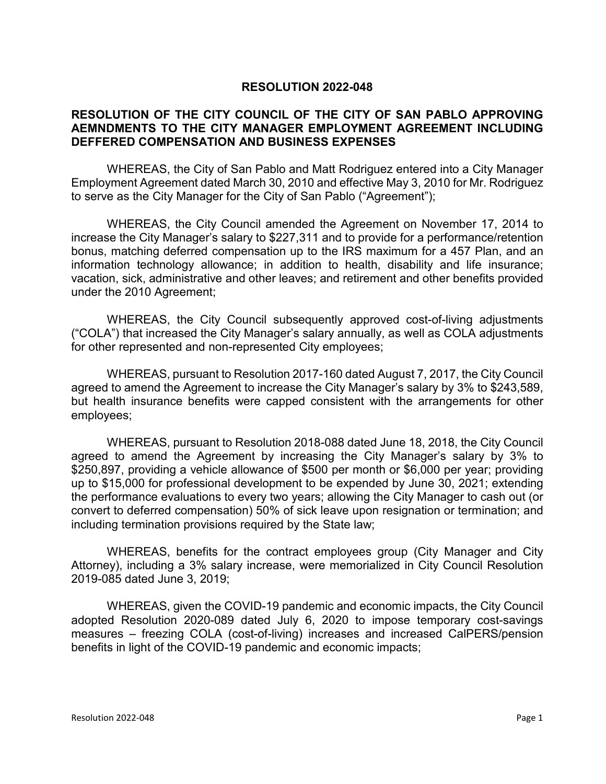## **RESOLUTION 2022-048**

## **RESOLUTION OF THE CITY COUNCIL OF THE CITY OF SAN PABLO APPROVING AEMNDMENTS TO THE CITY MANAGER EMPLOYMENT AGREEMENT INCLUDING DEFFERED COMPENSATION AND BUSINESS EXPENSES**

WHEREAS, the City of San Pablo and Matt Rodriguez entered into a City Manager Employment Agreement dated March 30, 2010 and effective May 3, 2010 for Mr. Rodriguez to serve as the City Manager for the City of San Pablo ("Agreement");

WHEREAS, the City Council amended the Agreement on November 17, 2014 to increase the City Manager's salary to \$227,311 and to provide for a performance/retention bonus, matching deferred compensation up to the IRS maximum for a 457 Plan, and an information technology allowance; in addition to health, disability and life insurance; vacation, sick, administrative and other leaves; and retirement and other benefits provided under the 2010 Agreement;

WHEREAS, the City Council subsequently approved cost-of-living adjustments ("COLA") that increased the City Manager's salary annually, as well as COLA adjustments for other represented and non-represented City employees;

WHEREAS, pursuant to Resolution 2017-160 dated August 7, 2017, the City Council agreed to amend the Agreement to increase the City Manager's salary by 3% to \$243,589, but health insurance benefits were capped consistent with the arrangements for other employees;

WHEREAS, pursuant to Resolution 2018-088 dated June 18, 2018, the City Council agreed to amend the Agreement by increasing the City Manager's salary by 3% to \$250,897, providing a vehicle allowance of \$500 per month or \$6,000 per year; providing up to \$15,000 for professional development to be expended by June 30, 2021; extending the performance evaluations to every two years; allowing the City Manager to cash out (or convert to deferred compensation) 50% of sick leave upon resignation or termination; and including termination provisions required by the State law;

WHEREAS, benefits for the contract employees group (City Manager and City Attorney), including a 3% salary increase, were memorialized in City Council Resolution 2019-085 dated June 3, 2019;

WHEREAS, given the COVID-19 pandemic and economic impacts, the City Council adopted Resolution 2020-089 dated July 6, 2020 to impose temporary cost-savings measures – freezing COLA (cost-of-living) increases and increased CalPERS/pension benefits in light of the COVID-19 pandemic and economic impacts;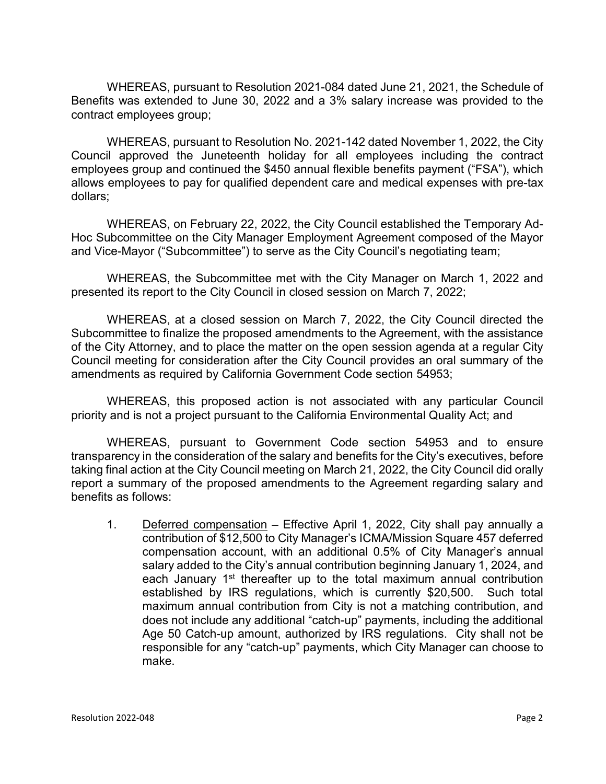WHEREAS, pursuant to Resolution 2021-084 dated June 21, 2021, the Schedule of Benefits was extended to June 30, 2022 and a 3% salary increase was provided to the contract employees group;

WHEREAS, pursuant to Resolution No. 2021-142 dated November 1, 2022, the City Council approved the Juneteenth holiday for all employees including the contract employees group and continued the \$450 annual flexible benefits payment ("FSA"), which allows employees to pay for qualified dependent care and medical expenses with pre-tax dollars;

WHEREAS, on February 22, 2022, the City Council established the Temporary Ad-Hoc Subcommittee on the City Manager Employment Agreement composed of the Mayor and Vice-Mayor ("Subcommittee") to serve as the City Council's negotiating team;

WHEREAS, the Subcommittee met with the City Manager on March 1, 2022 and presented its report to the City Council in closed session on March 7, 2022;

WHEREAS, at a closed session on March 7, 2022, the City Council directed the Subcommittee to finalize the proposed amendments to the Agreement, with the assistance of the City Attorney, and to place the matter on the open session agenda at a regular City Council meeting for consideration after the City Council provides an oral summary of the amendments as required by California Government Code section 54953;

WHEREAS, this proposed action is not associated with any particular Council priority and is not a project pursuant to the California Environmental Quality Act; and

WHEREAS, pursuant to Government Code section 54953 and to ensure transparency in the consideration of the salary and benefits for the City's executives, before taking final action at the City Council meeting on March 21, 2022, the City Council did orally report a summary of the proposed amendments to the Agreement regarding salary and benefits as follows:

1. Deferred compensation – Effective April 1, 2022, City shall pay annually a contribution of \$12,500 to City Manager's ICMA/Mission Square 457 deferred compensation account, with an additional 0.5% of City Manager's annual salary added to the City's annual contribution beginning January 1, 2024, and each January 1<sup>st</sup> thereafter up to the total maximum annual contribution established by IRS regulations, which is currently \$20,500. Such total maximum annual contribution from City is not a matching contribution, and does not include any additional "catch-up" payments, including the additional Age 50 Catch-up amount, authorized by IRS regulations. City shall not be responsible for any "catch-up" payments, which City Manager can choose to make.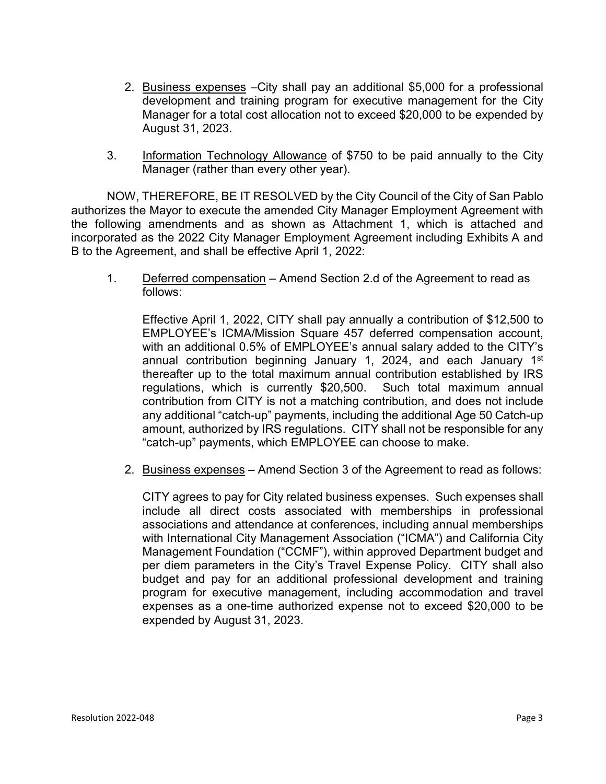- 2. Business expenses –City shall pay an additional \$5,000 for a professional development and training program for executive management for the City Manager for a total cost allocation not to exceed \$20,000 to be expended by August 31, 2023.
- 3. Information Technology Allowance of \$750 to be paid annually to the City Manager (rather than every other year).

NOW, THEREFORE, BE IT RESOLVED by the City Council of the City of San Pablo authorizes the Mayor to execute the amended City Manager Employment Agreement with the following amendments and as shown as Attachment 1, which is attached and incorporated as the 2022 City Manager Employment Agreement including Exhibits A and B to the Agreement, and shall be effective April 1, 2022:

1. Deferred compensation – Amend Section 2.d of the Agreement to read as follows:

Effective April 1, 2022, CITY shall pay annually a contribution of \$12,500 to EMPLOYEE's ICMA/Mission Square 457 deferred compensation account, with an additional 0.5% of EMPLOYEE's annual salary added to the CITY's annual contribution beginning January 1, 2024, and each January 1<sup>st</sup> thereafter up to the total maximum annual contribution established by IRS regulations, which is currently \$20,500. Such total maximum annual contribution from CITY is not a matching contribution, and does not include any additional "catch-up" payments, including the additional Age 50 Catch-up amount, authorized by IRS regulations. CITY shall not be responsible for any "catch-up" payments, which EMPLOYEE can choose to make.

2. Business expenses – Amend Section 3 of the Agreement to read as follows:

CITY agrees to pay for City related business expenses. Such expenses shall include all direct costs associated with memberships in professional associations and attendance at conferences, including annual memberships with International City Management Association ("ICMA") and California City Management Foundation ("CCMF"), within approved Department budget and per diem parameters in the City's Travel Expense Policy. CITY shall also budget and pay for an additional professional development and training program for executive management, including accommodation and travel expenses as a one-time authorized expense not to exceed \$20,000 to be expended by August 31, 2023.